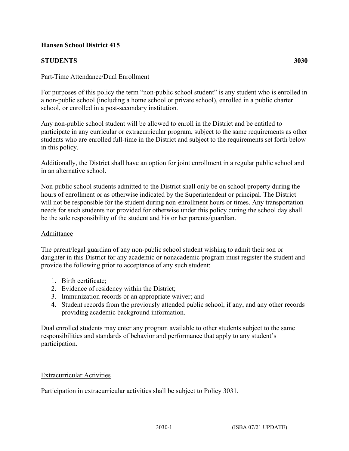# **Hansen School District 415**

# **STUDENTS 3030**

For purposes of this policy the term "non-public school student" is any student who is enrolled in a non-public school (including a home school or private school), enrolled in a public charter school, or enrolled in a post-secondary institution.

Any non-public school student will be allowed to enroll in the District and be entitled to participate in any curricular or extracurricular program, subject to the same requirements as other students who are enrolled full-time in the District and subject to the requirements set forth below in this policy.

Additionally, the District shall have an option for joint enrollment in a regular public school and in an alternative school.

Non-public school students admitted to the District shall only be on school property during the hours of enrollment or as otherwise indicated by the Superintendent or principal. The District will not be responsible for the student during non-enrollment hours or times. Any transportation needs for such students not provided for otherwise under this policy during the school day shall be the sole responsibility of the student and his or her parents/guardian.

# Admittance

The parent/legal guardian of any non-public school student wishing to admit their son or daughter in this District for any academic or nonacademic program must register the student and provide the following prior to acceptance of any such student:

- 1. Birth certificate;
- 2. Evidence of residency within the District;
- 3. Immunization records or an appropriate waiver; and
- 4. Student records from the previously attended public school, if any, and any other records providing academic background information.

Dual enrolled students may enter any program available to other students subject to the same responsibilities and standards of behavior and performance that apply to any student's participation.

#### Extracurricular Activities

Participation in extracurricular activities shall be subject to Policy 3031.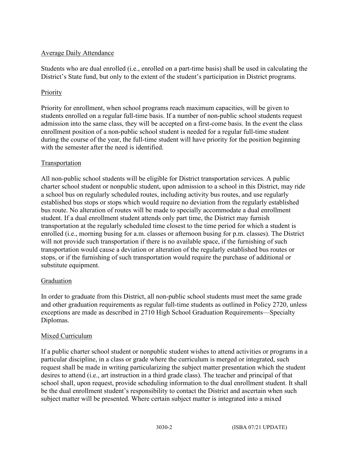# Average Daily Attendance

Students who are dual enrolled (i.e., enrolled on a part-time basis) shall be used in calculating the District's State fund, but only to the extent of the student's participation in District programs.

### Priority

Priority for enrollment, when school programs reach maximum capacities, will be given to students enrolled on a regular full-time basis. If a number of non-public school students request admission into the same class, they will be accepted on a first-come basis. In the event the class enrollment position of a non-public school student is needed for a regular full-time student during the course of the year, the full-time student will have priority for the position beginning with the semester after the need is identified.

### Transportation

All non-public school students will be eligible for District transportation services. A public charter school student or nonpublic student, upon admission to a school in this District, may ride a school bus on regularly scheduled routes, including activity bus routes, and use regularly established bus stops or stops which would require no deviation from the regularly established bus route. No alteration of routes will be made to specially accommodate a dual enrollment student. If a dual enrollment student attends only part time, the District may furnish transportation at the regularly scheduled time closest to the time period for which a student is enrolled (i.e., morning busing for a.m. classes or afternoon busing for p.m. classes). The District will not provide such transportation if there is no available space, if the furnishing of such transportation would cause a deviation or alteration of the regularly established bus routes or stops, or if the furnishing of such transportation would require the purchase of additional or substitute equipment.

#### Graduation

In order to graduate from this District, all non-public school students must meet the same grade and other graduation requirements as regular full-time students as outlined in Policy 2720, unless exceptions are made as described in 2710 High School Graduation Requirements—Specialty Diplomas.

#### Mixed Curriculum

If a public charter school student or nonpublic student wishes to attend activities or programs in a particular discipline, in a class or grade where the curriculum is merged or integrated, such request shall be made in writing particularizing the subject matter presentation which the student desires to attend (i.e., art instruction in a third grade class). The teacher and principal of that school shall, upon request, provide scheduling information to the dual enrollment student. It shall be the dual enrollment student's responsibility to contact the District and ascertain when such subject matter will be presented. Where certain subject matter is integrated into a mixed